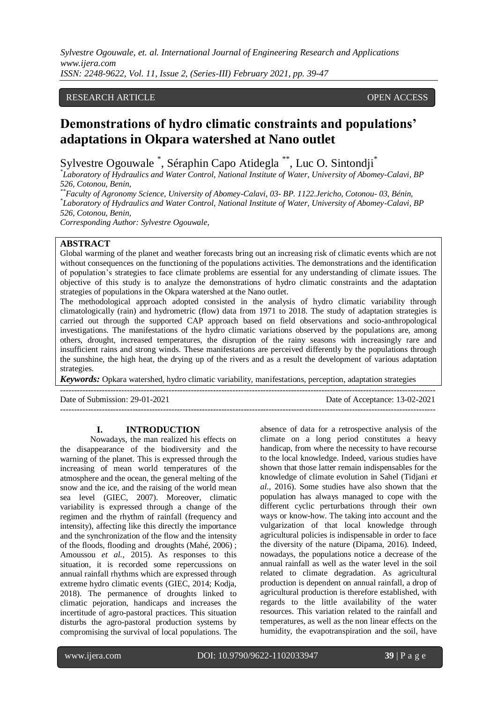# RESEARCH ARTICLE **CONTRACT ARTICLE**

# **Demonstrations of hydro climatic constraints and populations' adaptations in Okpara watershed at Nano outlet**

Sylvestre Ogouwale \* , Séraphin Capo Atidegla \*\*, Luc O. Sintondji\*

*\* Laboratory of Hydraulics and Water Control, National Institute of Water, University of Abomey-Calavi, BP 526, Cotonou, Benin,*

*\*\*Faculty of Agronomy Science, University of Abomey-Calavi, 03- BP. 1122.Jericho, Cotonou- 03, Bénin, \* Laboratory of Hydraulics and Water Control, National Institute of Water, University of Abomey-Calavi, BP 526, Cotonou, Benin,* 

*Corresponding Author: Sylvestre Ogouwale,*

## **ABSTRACT**

Global warming of the planet and weather forecasts bring out an increasing risk of climatic events which are not without consequences on the functioning of the populations activities. The demonstrations and the identification of population's strategies to face climate problems are essential for any understanding of climate issues. The objective of this study is to analyze the demonstrations of hydro climatic constraints and the adaptation strategies of populations in the Okpara watershed at the Nano outlet.

The methodological approach adopted consisted in the analysis of hydro climatic variability through climatologically (rain) and hydrometric (flow) data from 1971 to 2018. The study of adaptation strategies is carried out through the supported CAP approach based on field observations and socio-anthropological investigations. The manifestations of the hydro climatic variations observed by the populations are, among others, drought, increased temperatures, the disruption of the rainy seasons with increasingly rare and insufficient rains and strong winds. These manifestations are perceived differently by the populations through the sunshine, the high heat, the drying up of the rivers and as a result the development of various adaptation strategies.

*Keywords:* Opkara watershed, hydro climatic variability, manifestations, perception, adaptation strategies

---------------------------------------------------------------------------------------------------------------------------------------

Date of Submission: 29-01-2021 Date of Acceptance: 13-02-2021

 $-1\leq i\leq n-1\leq n-1\leq n-1\leq n-1\leq n-1\leq n-1\leq n-1\leq n-1\leq n-1\leq n-1\leq n-1\leq n-1\leq n-1\leq n-1\leq n-1\leq n-1\leq n-1\leq n-1\leq n-1\leq n-1\leq n-1\leq n-1\leq n-1\leq n-1\leq n-1\leq n-1\leq n-1\leq n-1\leq n-1\leq n-1\leq n-1\leq n-1\leq n-1\leq n-1\leq n-1\leq n$ 

#### **I. INTRODUCTION**

Nowadays, the man realized his effects on the disappearance of the biodiversity and the warning of the planet. This is expressed through the increasing of mean world temperatures of the atmosphere and the ocean, the general melting of the snow and the ice, and the raising of the world mean sea level (GIEC, 2007). Moreover, climatic variability is expressed through a change of the regimen and the rhythm of rainfall (frequency and intensity), affecting like this directly the importance and the synchronization of the flow and the intensity of the floods, flooding and droughts (Mahé, 2006) ; Amoussou *et al.,* 2015). As responses to this situation, it is recorded some repercussions on annual rainfall rhythms which are expressed through extreme hydro climatic events (GIEC, 2014; Kodja, 2018). The permanence of droughts linked to climatic pejoration, handicaps and increases the incertitude of agro-pastoral practices. This situation disturbs the agro-pastoral production systems by compromising the survival of local populations. The absence of data for a retrospective analysis of the climate on a long period constitutes a heavy handicap, from where the necessity to have recourse to the local knowledge. Indeed, various studies have shown that those latter remain indispensables for the knowledge of climate evolution in Sahel (Tidjani *et al.,* 2016). Some studies have also shown that the population has always managed to cope with the different cyclic perturbations through their own ways or know-how. The taking into account and the vulgarization of that local knowledge through agricultural policies is indispensable in order to face the diversity of the nature (Dipama, 2016). Indeed, nowadays, the populations notice a decrease of the annual rainfall as well as the water level in the soil related to climate degradation. As agricultural production is dependent on annual rainfall, a drop of agricultural production is therefore established, with regards to the little availability of the water resources. This variation related to the rainfall and temperatures, as well as the non linear effects on the humidity, the evapotranspiration and the soil, have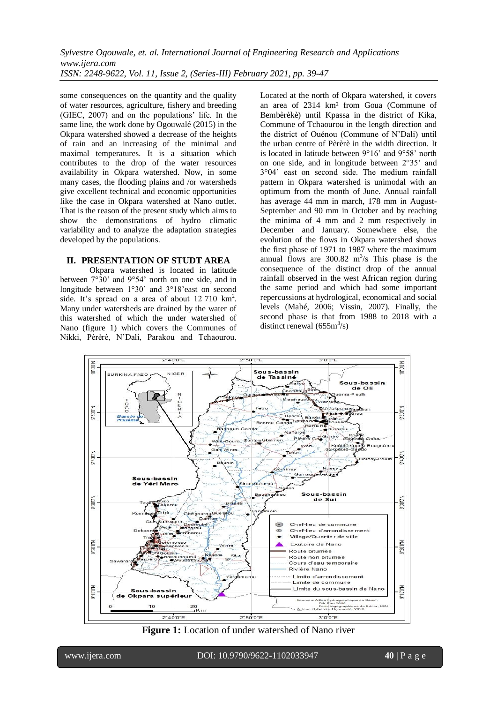some consequences on the quantity and the quality of water resources, agriculture, fishery and breeding (GIEC, 2007) and on the populations' life. In the same line, the work done by Ogouwalé (2015) in the Okpara watershed showed a decrease of the heights of rain and an increasing of the minimal and maximal temperatures. It is a situation which contributes to the drop of the water resources availability in Okpara watershed. Now, in some many cases, the flooding plains and /or watersheds give excellent technical and economic opportunities like the case in Okpara watershed at Nano outlet. That is the reason of the present study which aims to show the demonstrations of hydro climatic variability and to analyze the adaptation strategies developed by the populations.

# **II. PRESENTATION OF STUDT AREA**

Okpara watershed is located in latitude between 7°30' and 9°54' north on one side, and in longitude between 1°30' and 3°18'east on second side. It's spread on a area of about 12 710 km<sup>2</sup>. Many under watersheds are drained by the water of this watershed of which the under watershed of Nano (figure 1) which covers the Communes of Nikki, Pèrèrè, N'Dali, Parakou and Tchaourou.

Located at the north of Okpara watershed, it covers an area of 2314 km² from Goua (Commune of Bembèrèkè) until Kpassa in the district of Kika, Commune of Tchaourou in the length direction and the district of Ouénou (Commune of N'Dali) until the urban centre of Pèrèrè in the width direction. It is located in latitude between 9°16' and 9°58' north on one side, and in longitude between 2°35' and 3°04' east on second side. The medium rainfall pattern in Okpara watershed is unimodal with an optimum from the month of June. Annual rainfall has average 44 mm in march, 178 mm in August-September and 90 mm in October and by reaching the minima of 4 mm and 2 mm respectively in December and January. Somewhere else, the evolution of the flows in Okpara watershed shows the first phase of 1971 to 1987 where the maximum annual flows are  $300.82 \text{ m}^3/\text{s}$  This phase is the consequence of the distinct drop of the annual rainfall observed in the west African region during the same period and which had some important repercussions at hydrological, economical and social levels (Mahé, 2006; Vissin, 2007). Finally, the second phase is that from 1988 to 2018 with a distinct renewal  $(655m<sup>3</sup>/s)$ 



**Figure 1:** Location of under watershed of Nano river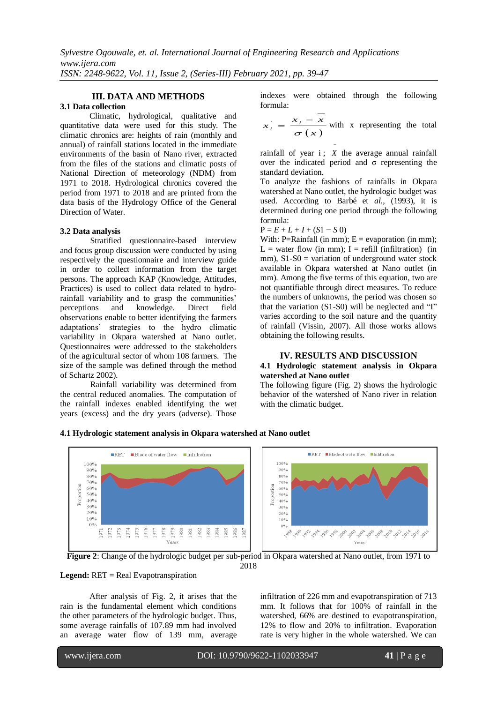# **III. DATA AND METHODS**

# **3.1 Data collection**

Climatic, hydrological, qualitative and quantitative data were used for this study. The climatic chronics are: heights of rain (monthly and annual) of rainfall stations located in the immediate environments of the basin of Nano river, extracted from the files of the stations and climatic posts of National Direction of meteorology (NDM) from 1971 to 2018. Hydrological chronics covered the period from 1971 to 2018 and are printed from the data basis of the Hydrology Office of the General Direction of Water.

#### **3.2 Data analysis**

Stratified questionnaire-based interview and focus group discussion were conducted by using respectively the questionnaire and interview guide in order to collect information from the target persons. The approach KAP (Knowledge, Attitudes, Practices) is used to collect data related to hydrorainfall variability and to grasp the communities' perceptions and knowledge. Direct field observations enable to better identifying the farmers adaptations' strategies to the hydro climatic variability in Okpara watershed at Nano outlet. Questionnaires were addressed to the stakeholders of the agricultural sector of whom 108 farmers. The size of the sample was defined through the method of Schartz 2002).

Rainfall variability was determined from the central reduced anomalies. The computation of the rainfall indexes enabled identifying the wet years (excess) and the dry years (adverse). Those indexes were obtained through the following formula:

$$
x_i = \frac{x_i - \overline{x}}{\sigma(x)}
$$
 with x representing the total

rainfall of year  $i$ ;  $X$  the average annual rainfall over the indicated period and σ representing the standard deviation.

i,

To analyze the fashions of rainfalls in Okpara watershed at Nano outlet, the hydrologic budget was used. According to Barbé et *al.,* (1993), it is determined during one period through the following formula:

$$
P = E + L + I + (S1 - S 0)
$$

With: P=Rainfall (in mm);  $E =$  evaporation (in mm);  $L =$  water flow (in mm); I = refill (infiltration) (in mm),  $S1-S0 =$  variation of underground water stock available in Okpara watershed at Nano outlet (in mm). Among the five terms of this equation, two are not quantifiable through direct measures. To reduce the numbers of unknowns, the period was chosen so that the variation (S1-S0) will be neglected and "I" varies according to the soil nature and the quantity of rainfall (Vissin, 2007). All those works allows obtaining the following results.

#### **IV. RESULTS AND DISCUSSION**

#### **4.1 Hydrologic statement analysis in Okpara watershed at Nano outlet**

The following figure (Fig. 2) shows the hydrologic behavior of the watershed of Nano river in relation with the climatic budget.

#### **4.1 Hydrologic statement analysis in Okpara watershed at Nano outlet**





**Legend:** RET = Real Evapotranspiration

After analysis of Fig. 2, it arises that the rain is the fundamental element which conditions the other parameters of the hydrologic budget. Thus, some average rainfalls of 107.89 mm had involved an average water flow of 139 mm, average infiltration of 226 mm and evapotranspiration of 713 mm. It follows that for 100% of rainfall in the watershed, 66% are destined to evapotranspiration, 12% to flow and 20% to infiltration. Evaporation rate is very higher in the whole watershed. We can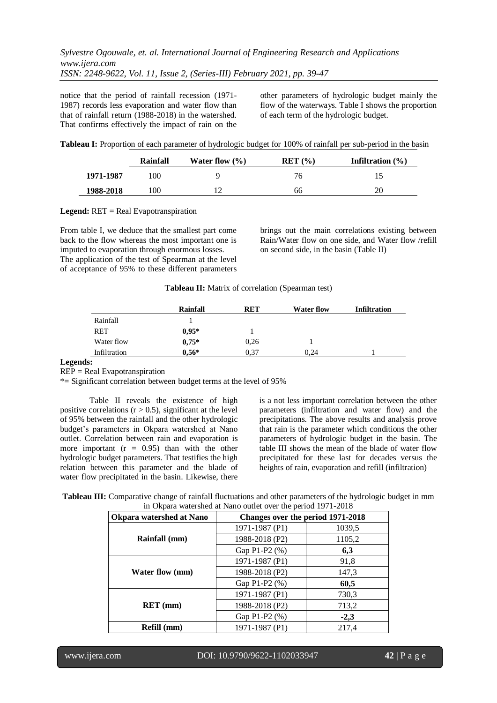notice that the period of rainfall recession (1971- 1987) records less evaporation and water flow than that of rainfall return (1988-2018) in the watershed. That confirms effectively the impact of rain on the other parameters of hydrologic budget mainly the flow of the waterways. Table I shows the proportion of each term of the hydrologic budget.

**Tableau I:** Proportion of each parameter of hydrologic budget for 100% of rainfall per sub-period in the basin

|           | Rainfall       | Water flow $(\% )$ | RET (%) | Infiltration $(\% )$ |
|-----------|----------------|--------------------|---------|----------------------|
| 1971-1987 | 0 <sup>0</sup> | Q                  | 76      |                      |
| 1988-2018 | 00             |                    | 66      | 20                   |

**Legend:** RET = Real Evapotranspiration

From table I, we deduce that the smallest part come back to the flow whereas the most important one is imputed to evaporation through enormous losses. The application of the test of Spearman at the level of acceptance of 95% to these different parameters brings out the main correlations existing between Rain/Water flow on one side, and Water flow /refill on second side, in the basin (Table II)

| Tableau II: Matrix of correlation (Spearman test) |  |  |
|---------------------------------------------------|--|--|
|---------------------------------------------------|--|--|

| <b>Rainfall</b> | <b>RET</b> | <b>Water flow</b> | <b>Infiltration</b> |
|-----------------|------------|-------------------|---------------------|
|                 |            |                   |                     |
| $0.95*$         |            |                   |                     |
| $0.75*$         | 0,26       |                   |                     |
| $0,56*$         | 0.37       | 0.24              |                     |
|                 |            |                   |                     |

#### **Legends:**

REP = Real Evapotranspiration

\*= Significant correlation between budget terms at the level of 95%

Table II reveals the existence of high positive correlations  $(r > 0.5)$ , significant at the level of 95% between the rainfall and the other hydrologic budget's parameters in Okpara watershed at Nano outlet. Correlation between rain and evaporation is more important  $(r = 0.95)$  than with the other hydrologic budget parameters. That testifies the high relation between this parameter and the blade of water flow precipitated in the basin. Likewise, there

is a not less important correlation between the other parameters (infiltration and water flow) and the precipitations. The above results and analysis prove that rain is the parameter which conditions the other parameters of hydrologic budget in the basin. The table III shows the mean of the blade of water flow precipitated for these last for decades versus the heights of rain, evaporation and refill (infiltration)

| Tableau III: Comparative change of rainfall fluctuations and other parameters of the hydrologic budget in mm |
|--------------------------------------------------------------------------------------------------------------|
| in Okpara watershed at Nano outlet over the period 1971-2018                                                 |

| <b>Okpara watershed at Nano</b> | Changes over the period 1971-2018 |        |  |
|---------------------------------|-----------------------------------|--------|--|
|                                 | 1971-1987 (P1)                    | 1039,5 |  |
| Rainfall (mm)                   | 1988-2018 (P2)                    | 1105,2 |  |
|                                 | Gap P1-P2 (%)                     | 6,3    |  |
| <b>Water flow (mm)</b>          | 1971-1987 (P1)                    | 91,8   |  |
|                                 | 1988-2018 (P2)                    | 147,3  |  |
|                                 | Gap P1-P2 (%)                     | 60,5   |  |
| $RET$ (mm)                      | 1971-1987 (P1)                    | 730,3  |  |
|                                 | 1988-2018 (P2)                    | 713,2  |  |
|                                 | Gap P1-P2 (%)                     | $-2,3$ |  |
| Refill (mm)                     | 1971-1987 (P1)                    | 217,4  |  |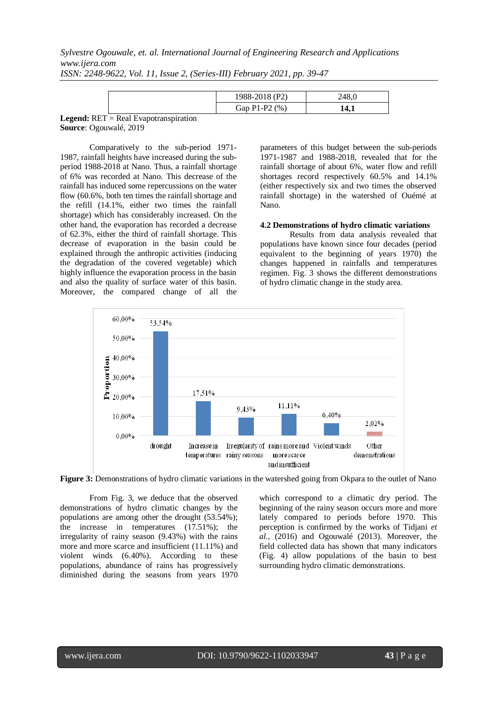|                                                               | 1988-2018 (P2)      | 248    |
|---------------------------------------------------------------|---------------------|--------|
|                                                               | Gap $P1-P2$ $(\% )$ | . т. д |
| $\mathbf{J}$ . Det $\mathbf{D}$ . I familiar and $\mathbf{J}$ |                     |        |

**Legend:** RET = Real Evapotranspiration **Source**: Ogouwalé, 2019

Comparatively to the sub-period 1971- 1987, rainfall heights have increased during the subperiod 1988-2018 at Nano. Thus, a rainfall shortage of 6% was recorded at Nano. This decrease of the rainfall has induced some repercussions on the water flow (60.6%, both ten times the rainfall shortage and the refill (14.1%, either two times the rainfall shortage) which has considerably increased. On the other hand, the evaporation has recorded a decrease of 62.3%, either the third of rainfall shortage. This decrease of evaporation in the basin could be explained through the anthropic activities (inducing the degradation of the covered vegetable) which highly influence the evaporation process in the basin and also the quality of surface water of this basin. Moreover, the compared change of all the

parameters of this budget between the sub-periods 1971-1987 and 1988-2018, revealed that for the rainfall shortage of about 6%, water flow and refill shortages record respectively 60.5% and 14.1% (either respectively six and two times the observed rainfall shortage) in the watershed of Ouémé at Nano.

#### **4.2 Demonstrations of hydro climatic variations**

Results from data analysis revealed that populations have known since four decades (period equivalent to the beginning of years 1970) the changes happened in rainfalls and temperatures regimen. Fig. 3 shows the different demonstrations of hydro climatic change in the study area.



**Figure 3:** Demonstrations of hydro climatic variations in the watershed going from Okpara to the outlet of Nano

From Fig. 3, we deduce that the observed demonstrations of hydro climatic changes by the populations are among other the drought (53.54%); the increase in temperatures (17.51%); the irregularity of rainy season (9.43%) with the rains more and more scarce and insufficient (11.11%) and violent winds (6.40%). According to these populations, abundance of rains has progressively diminished during the seasons from years 1970

which correspond to a climatic dry period. The beginning of the rainy season occurs more and more lately compared to periods before 1970. This perception is confirmed by the works of Tidjani *et al.,* (2016) and Ogouwalé (2013). Moreover, the field collected data has shown that many indicators (Fig. 4) allow populations of the basin to best surrounding hydro climatic demonstrations.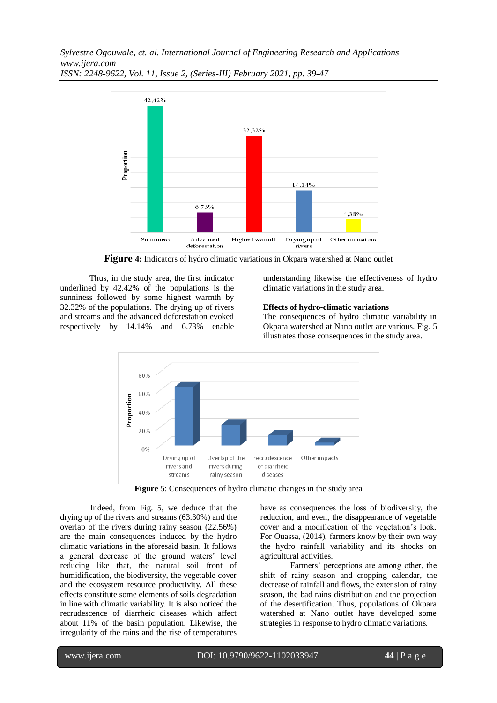*Sylvestre Ogouwale, et. al. International Journal of Engineering Research and Applications www.ijera.com*



*ISSN: 2248-9622, Vol. 11, Issue 2, (Series-III) February 2021, pp. 39-47*

**Figure 4:** Indicators of hydro climatic variations in Okpara watershed at Nano outlet

Thus, in the study area, the first indicator underlined by 42.42% of the populations is the sunniness followed by some highest warmth by 32.32% of the populations. The drying up of rivers and streams and the advanced deforestation evoked respectively by 14.14% and 6.73% enable

understanding likewise the effectiveness of hydro climatic variations in the study area.

## **Effects of hydro-climatic variations**

The consequences of hydro climatic variability in Okpara watershed at Nano outlet are various. Fig. 5 illustrates those consequences in the study area.



**Figure 5**: Consequences of hydro climatic changes in the study area

Indeed, from Fig. 5, we deduce that the drying up of the rivers and streams (63.30%) and the overlap of the rivers during rainy season (22.56%) are the main consequences induced by the hydro climatic variations in the aforesaid basin. It follows a general decrease of the ground waters' level reducing like that, the natural soil front of humidification, the biodiversity, the vegetable cover and the ecosystem resource productivity. All these effects constitute some elements of soils degradation in line with climatic variability. It is also noticed the recrudescence of diarrheic diseases which affect about 11% of the basin population. Likewise, the irregularity of the rains and the rise of temperatures

have as consequences the loss of biodiversity, the reduction, and even, the disappearance of vegetable cover and a modification of the vegetation's look. For Ouassa, (2014), farmers know by their own way the hydro rainfall variability and its shocks on agricultural activities.

Farmers' perceptions are among other, the shift of rainy season and cropping calendar, the decrease of rainfall and flows, the extension of rainy season, the bad rains distribution and the projection of the desertification. Thus, populations of Okpara watershed at Nano outlet have developed some strategies in response to hydro climatic variations.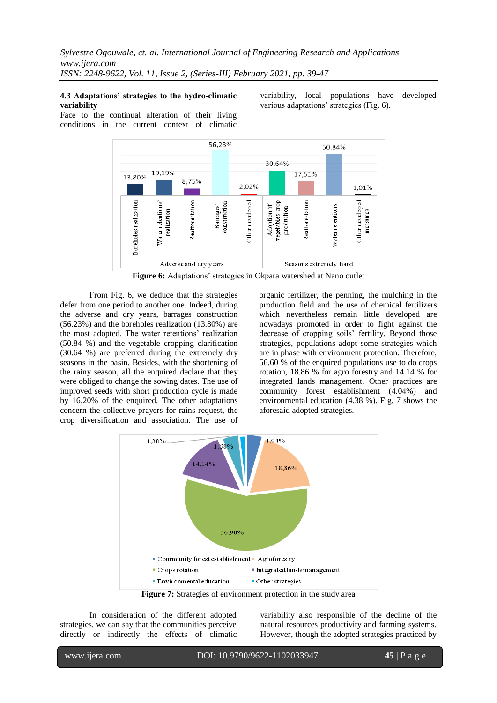#### **4.3 Adaptations' strategies to the hydro-climatic variability**

variability, local populations have developed various adaptations' strategies (Fig. 6).

Face to the continual alteration of their living conditions in the current context of climatic



From Fig. 6, we deduce that the strategies defer from one period to another one. Indeed, during the adverse and dry years, barrages construction (56.23%) and the boreholes realization (13.80%) are the most adopted. The water retentions' realization (50.84 %) and the vegetable cropping clarification (30.64 %) are preferred during the extremely dry seasons in the basin. Besides, with the shortening of the rainy season, all the enquired declare that they were obliged to change the sowing dates. The use of improved seeds with short production cycle is made by 16.20% of the enquired. The other adaptations concern the collective prayers for rains request, the crop diversification and association. The use of

organic fertilizer, the penning, the mulching in the production field and the use of chemical fertilizers which nevertheless remain little developed are nowadays promoted in order to fight against the decrease of cropping soils' fertility. Beyond those strategies, populations adopt some strategies which are in phase with environment protection. Therefore, 56.60 % of the enquired populations use to do crops rotation, 18.86 % for agro forestry and 14.14 % for integrated lands management. Other practices are community forest establishment (4.04%) and environmental education (4.38 %). Fig. 7 shows the aforesaid adopted strategies.



**Figure 7:** Strategies of environment protection in the study area

In consideration of the different adopted strategies, we can say that the communities perceive directly or indirectly the effects of climatic variability also responsible of the decline of the natural resources productivity and farming systems. However, though the adopted strategies practiced by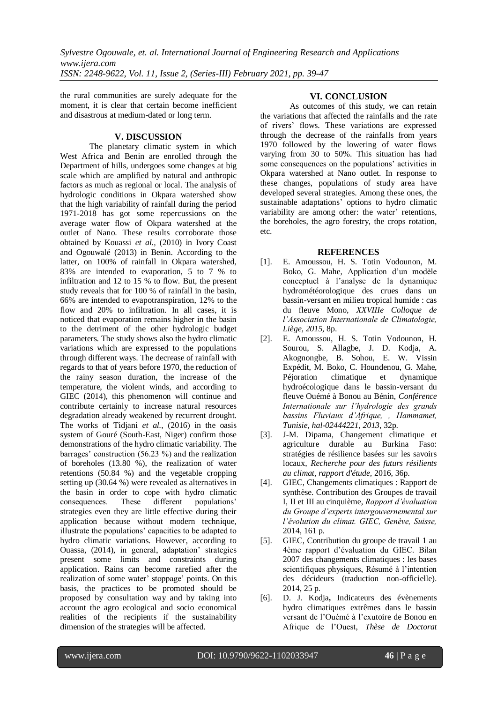the rural communities are surely adequate for the moment, it is clear that certain become inefficient and disastrous at medium-dated or long term.

## **V. DISCUSSION**

The planetary climatic system in which West Africa and Benin are enrolled through the Department of hills, undergoes some changes at big scale which are amplified by natural and anthropic factors as much as regional or local. The analysis of hydrologic conditions in Okpara watershed show that the high variability of rainfall during the period 1971-2018 has got some repercussions on the average water flow of Okpara watershed at the outlet of Nano. These results corroborate those obtained by Kouassi *et al.,* (2010) in Ivory Coast and Ogouwalé (2013) in Benin. According to the latter, on 100% of rainfall in Okpara watershed, 83% are intended to evaporation, 5 to 7 % to infiltration and 12 to 15 % to flow. But, the present study reveals that for 100 % of rainfall in the basin, 66% are intended to evapotranspiration, 12% to the flow and 20% to infiltration. In all cases, it is noticed that evaporation remains higher in the basin to the detriment of the other hydrologic budget parameters. The study shows also the hydro climatic variations which are expressed to the populations through different ways. The decrease of rainfall with regards to that of years before 1970, the reduction of the rainy season duration, the increase of the temperature, the violent winds, and according to GIEC (2014), this phenomenon will continue and contribute certainly to increase natural resources degradation already weakened by recurrent drought. The works of Tidjani *et al.,* (2016) in the oasis system of Gouré (South-East, Niger) confirm those demonstrations of the hydro climatic variability. The barrages' construction (56.23 %) and the realization of boreholes (13.80 %), the realization of water retentions (50.84 %) and the vegetable cropping setting up (30.64 %) were revealed as alternatives in the basin in order to cope with hydro climatic consequences. These different populations' strategies even they are little effective during their application because without modern technique, illustrate the populations' capacities to be adapted to hydro climatic variations. However, according to Ouassa, (2014), in general, adaptation' strategies present some limits and constraints during application. Rains can become rarefied after the realization of some water' stoppage' points. On this basis, the practices to be promoted should be proposed by consultation way and by taking into account the agro ecological and socio economical realities of the recipients if the sustainability dimension of the strategies will be affected.

# **VI. CONCLUSION**

As outcomes of this study, we can retain the variations that affected the rainfalls and the rate of rivers' flows. These variations are expressed through the decrease of the rainfalls from years 1970 followed by the lowering of water flows varying from 30 to 50%. This situation has had some consequences on the populations' activities in Okpara watershed at Nano outlet. In response to these changes, populations of study area have developed several strategies. Among these ones, the sustainable adaptations' options to hydro climatic variability are among other: the water' retentions, the boreholes, the agro forestry, the crops rotation, etc.

# **REFERENCES**

- [1]. E. Amoussou, H. S. Totin Vodounon, M. Boko, G. Mahe, Application d'un modèle conceptuel à l'analyse de la dynamique hydrométéorologique des crues dans un bassin-versant en milieu tropical humide : cas du fleuve Mono, *XXVIIIe Colloque de l'Association Internationale de Climatologie, Liège, 2015*, 8p.
- [2]. E. Amoussou, H. S. Totin Vodounon, H. Sourou, S. Allagbe, J. D. Kodja, A. Akognongbe, B. Sohou, E. W. Vissin Expédit, M. Boko, C. Houndenou, G. Mahe, Péjoration climatique et dynamique hydroécologique dans le bassin-versant du fleuve Ouémé à Bonou au Bénin, *Conférence Internationale sur l'hydrologie des grands bassins Fluviaux d'Afrique, , Hammamet, Tunisie, [hal-02444221,](https://hal.archives-ouvertes.fr/hal-02444221) 2013*, 32p.
- [3]. J-M. Dipama, Changement climatique et agriculture durable au Burkina Faso: stratégies de résilience basées sur les savoirs locaux, *Recherche pour des futurs résilients au climat, rapport d'étude,* 2016, 36p.
- [4]. GIEC, Changements climatiques : Rapport de synthèse. Contribution des Groupes de travail I, II et III au cinquième, *Rapport d'évaluation du Groupe d'experts intergouvernemental sur l'évolution du climat. GIEC, Genève, Suisse,* 2014, 161 p.
- [5]. GIEC, Contribution du groupe de travail 1 au 4ème rapport d'évaluation du GIEC. Bilan 2007 des changements climatiques : les bases scientifiques physiques, Résumé à l'intention des décideurs (traduction non-officielle). 2014, 25 p.
- [6]. D. J. Kodja**,** Indicateurs des évènements hydro climatiques extrêmes dans le bassin versant de l'Ouémé à l'exutoire de Bonou en Afrique de l'Ouest, *Thèse de Doctorat*